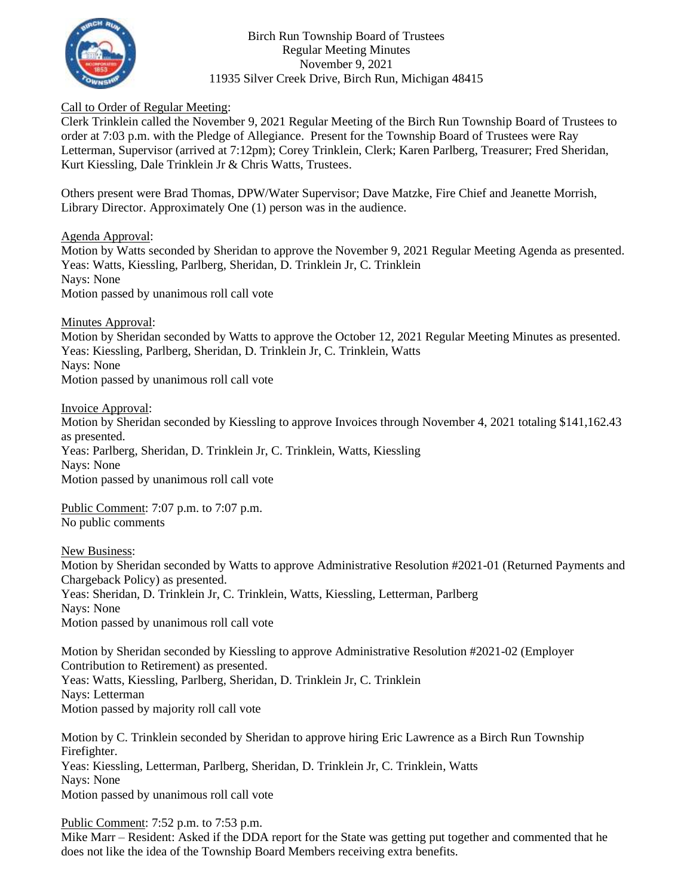

Birch Run Township Board of Trustees Regular Meeting Minutes November 9, 2021 11935 Silver Creek Drive, Birch Run, Michigan 48415

## Call to Order of Regular Meeting:

Clerk Trinklein called the November 9, 2021 Regular Meeting of the Birch Run Township Board of Trustees to order at 7:03 p.m. with the Pledge of Allegiance. Present for the Township Board of Trustees were Ray Letterman, Supervisor (arrived at 7:12pm); Corey Trinklein, Clerk; Karen Parlberg, Treasurer; Fred Sheridan, Kurt Kiessling, Dale Trinklein Jr & Chris Watts, Trustees.

Others present were Brad Thomas, DPW/Water Supervisor; Dave Matzke, Fire Chief and Jeanette Morrish, Library Director. Approximately One (1) person was in the audience.

Agenda Approval:

Motion by Watts seconded by Sheridan to approve the November 9, 2021 Regular Meeting Agenda as presented. Yeas: Watts, Kiessling, Parlberg, Sheridan, D. Trinklein Jr, C. Trinklein Nays: None Motion passed by unanimous roll call vote

Minutes Approval:

Motion by Sheridan seconded by Watts to approve the October 12, 2021 Regular Meeting Minutes as presented. Yeas: Kiessling, Parlberg, Sheridan, D. Trinklein Jr, C. Trinklein, Watts Nays: None Motion passed by unanimous roll call vote

Invoice Approval:

Motion by Sheridan seconded by Kiessling to approve Invoices through November 4, 2021 totaling \$141,162.43 as presented. Yeas: Parlberg, Sheridan, D. Trinklein Jr, C. Trinklein, Watts, Kiessling Nays: None Motion passed by unanimous roll call vote

Public Comment: 7:07 p.m. to 7:07 p.m. No public comments

New Business:

Motion by Sheridan seconded by Watts to approve Administrative Resolution #2021-01 (Returned Payments and Chargeback Policy) as presented. Yeas: Sheridan, D. Trinklein Jr, C. Trinklein, Watts, Kiessling, Letterman, Parlberg Nays: None Motion passed by unanimous roll call vote

Motion by Sheridan seconded by Kiessling to approve Administrative Resolution #2021-02 (Employer Contribution to Retirement) as presented. Yeas: Watts, Kiessling, Parlberg, Sheridan, D. Trinklein Jr, C. Trinklein Nays: Letterman Motion passed by majority roll call vote

Motion by C. Trinklein seconded by Sheridan to approve hiring Eric Lawrence as a Birch Run Township Firefighter. Yeas: Kiessling, Letterman, Parlberg, Sheridan, D. Trinklein Jr, C. Trinklein, Watts Nays: None Motion passed by unanimous roll call vote

Public Comment: 7:52 p.m. to 7:53 p.m.

Mike Marr – Resident: Asked if the DDA report for the State was getting put together and commented that he does not like the idea of the Township Board Members receiving extra benefits.